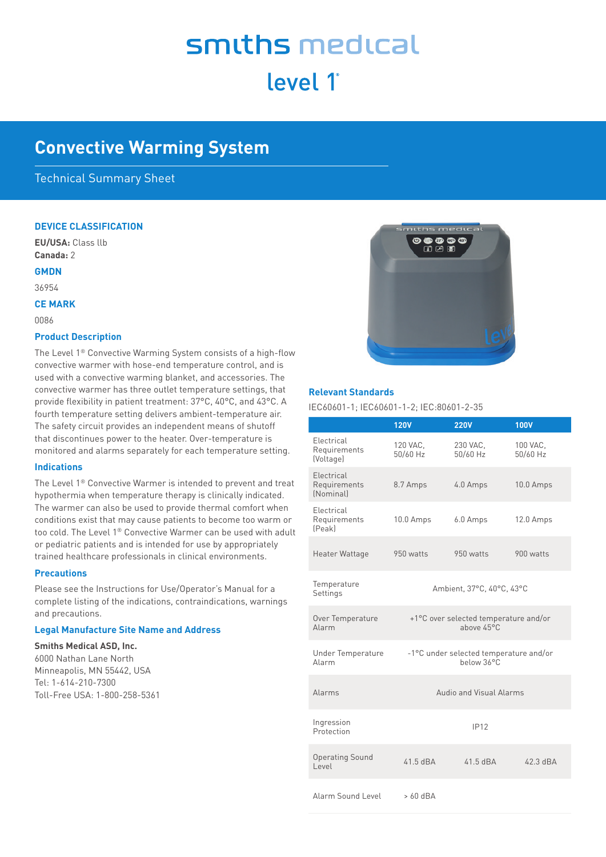# smiths medical level 1<sup>°</sup>

# **Convective Warming System**

# Technical Summary Sheet

#### **DEVICE CLASSIFICATION**

**EU/USA:** Class llb **Canada:** 2

#### **GMDN**

36954

**CE MARK**

0086

#### **Product Description**

The Level 1® Convective Warming System consists of a high-flow convective warmer with hose-end temperature control, and is used with a convective warming blanket, and accessories. The convective warmer has three outlet temperature settings, that provide flexibility in patient treatment: 37°C, 40°C, and 43°C. A fourth temperature setting delivers ambient-temperature air. The safety circuit provides an independent means of shutoff that discontinues power to the heater. Over-temperature is monitored and alarms separately for each temperature setting.

#### **Indications**

The Level 1® Convective Warmer is intended to prevent and treat hypothermia when temperature therapy is clinically indicated. The warmer can also be used to provide thermal comfort when conditions exist that may cause patients to become too warm or too cold. The Level 1® Convective Warmer can be used with adult or pediatric patients and is intended for use by appropriately trained healthcare professionals in clinical environments.

#### **Precautions**

Please see the Instructions for Use/Operator's Manual for a complete listing of the indications, contraindications, warnings and precautions.

### **Legal Manufacture Site Name and Address**

#### **Smiths Medical ASD, Inc.**

6000 Nathan Lane North Minneapolis, MN 55442, USA Tel: 1-614-210-7300 Toll-Free USA: 1-800-258-5361



#### **Relevant Standards**

IEC60601-1; IEC60601-1-2; IEC:80601-2-35

|                                                | <b>120V</b>                                                   | <b>220V</b>          | <b>100V</b>          |  |  |
|------------------------------------------------|---------------------------------------------------------------|----------------------|----------------------|--|--|
| Electrical<br>Requirements<br>(Voltage)        | 120 VAC,<br>50/60 Hz                                          | 230 VAC,<br>50/60 Hz | 100 VAC.<br>50/60 Hz |  |  |
| Electrical<br>Requirements<br><i>(Nominal)</i> | 8.7 Amps                                                      | 4.0 Amps             | 10.0 Amps            |  |  |
| Electrical<br>Requirements<br>[Peak]           | 10.0 Amps                                                     | 6.0 Amps             | 12.0 Amps            |  |  |
| Heater Wattage                                 | 950 watts                                                     | 950 watts            | 900 watts            |  |  |
| Temperature<br>Settings                        | Ambient, 37°C, 40°C, 43°C                                     |                      |                      |  |  |
| Over Temperature<br>Alarm                      | +1°C over selected temperature and/or<br>above $45^{\circ}$ C |                      |                      |  |  |
| <b>Under Temperature</b><br>Alarm              | -1°C under selected temperature and/or<br>below 36°C          |                      |                      |  |  |
| Alarms                                         | Audio and Visual Alarms                                       |                      |                      |  |  |
| Ingression<br>Protection                       |                                                               | IP12                 |                      |  |  |
| <b>Operating Sound</b><br>Level                | $41.5$ dBA                                                    | $41.5$ dBA           | 42.3 dBA             |  |  |
| Alarm Sound Level                              | $>60$ dBA                                                     |                      |                      |  |  |